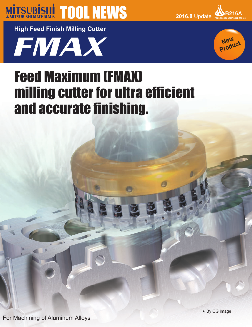

**2016.8** Update **B216A**

**High Feed Finish Milling Cutter**





# Feed Maximum (FMAX) milling cutter for ultra efficient and accurate finishing.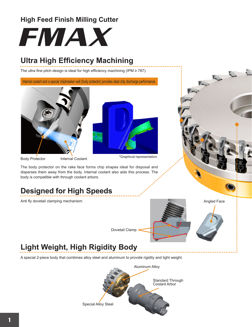### **High Feed Finish Milling Cutter**



## **Ultra High Efficiency Machining**

The ultra fine pitch design is ideal for high efficiency machining (IPM ≥ 787).

Internal coolant and a special chipbreaker wall (body protector) provides ideal chip discharge performance.





Body Protector Internal Coolant

\*Graphical representation.

The body protector on the rake face forms chip shapes ideal for disposal and disperses them away from the body. Internal coolant also aids this process. The body is compatible with through coolant arbors.

# **Designed for High Speeds**

Anti fly dovetail clamping mechanism.





1

# **Light Weight, High Rigidity Body**

A special 2-piece body that combines alloy steel and aluminum to provide rigidity and light weight.



Dovetail Clamp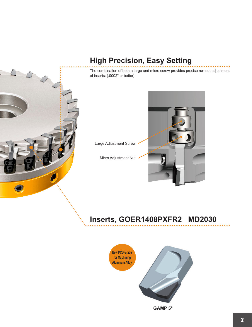

# **High Precision, Easy Setting**

The combination of both a large and micro screw provides precise run-out adjustment of inserts; (.0002" or better).

Large Adjustment Screw

Micro Adjustment Nut



# **Inserts, GOER1408PXFR2 MD2030**

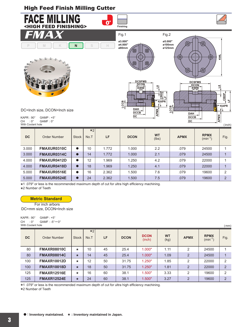### High Feed Finish Milling Cutter



| <b>DC</b> | Order Number | <b>Stock</b> | $\star$ 2<br>No.T | LF    | <b>DCON</b> | <b>WT</b><br>(lbs) | <b>APMX</b> | <b>RPMX</b><br>$(min^{-1})$ | Fig.           |
|-----------|--------------|--------------|-------------------|-------|-------------|--------------------|-------------|-----------------------------|----------------|
| 3.000     | FMAXUR0310C  | 0            | 10                | 1.772 | 1.000       | 2.2                | .079        | 24500                       |                |
| 3.000     | FMAXUR0314C  | $\bullet$    | 14                | 1.772 | 1.000       | 2.1                | .079        | 24500                       |                |
| 4.000     | FMAXUR0412D  | $\bullet$    | 12                | 1.969 | 1.250       | 4.2                | .079        | 22000                       |                |
| 4.000     | FMAXUR0418D  | $\bullet$    | 18                | 1.969 | 1.250       | 4.1                | .079        | 22000                       |                |
| 5.000     | FMAXUR0516E  | $\bullet$    | 16                | 2.362 | 1.500       | 7.6                | .079        | 19600                       | 2              |
| 5.000     | FMAXUR0524E  |              | 24                | 2.362 | 1.500       | 7.5                | .079        | 19600                       | $\overline{2}$ |

\* 1 .079" or less is the recommended maximum depth of cut for ultra high efficiency machining.

\* 2 Number of Teeth

#### **Metric Standard**

For inch arbors DC=mm size, DCON=Inch size

| KAPR : 90° |                   | GAMP : +5° |                    |
|------------|-------------------|------------|--------------------|
|            |                   |            | CH :0° GAMF:-5°—0° |
|            | With Coolant hole |            |                    |

|           | With Coolant hole<br>(mm) |              |              |    |             |                       |                   |                |                             |                |
|-----------|---------------------------|--------------|--------------|----|-------------|-----------------------|-------------------|----------------|-----------------------------|----------------|
| <b>DC</b> | Order Number              | <b>Stock</b> | $*2$<br>No.T | LF | <b>DCON</b> | <b>DCON</b><br>(inch) | <b>WT</b><br>(kg) | <b>APMX</b>    | <b>RPMX</b><br>$(min^{-1})$ | Fig.           |
| 80        | <b>FMAXR08010C</b>        | $\star$      | 10           | 45 | 25.4        | 1.000"                | 1.11              | 2              | 24500                       |                |
| 80        | <b>FMAXR08014C</b>        | $\star$      | 14           | 45 | 25.4        | 1.000"                | 1.09              | $\overline{2}$ | 24500                       | 1              |
| 100       | <b>FMAXR10012D</b>        | $\star$      | 12           | 50 | 31.75       | 1.250"                | 1.85              | 2              | 22000                       | 2              |
| 100       | <b>FMAXR10018D</b>        | $\star$      | 18           | 50 | 31.75       | 1.250"                | 1.81              | $\overline{2}$ | 22000                       | $\overline{2}$ |
| 125       | <b>FMAXR12516E</b>        | $\star$      | 16           | 60 | 38.1        | 1.500"                | 3.33              | 2              | 19600                       | 2              |
| 125       | <b>FMAXR12524E</b>        | $\star$      | 24           | 60 | 38.1        | 1.500"                | 3.27              | $\overline{2}$ | 19600                       | $\overline{2}$ |

1 .079" or less is the recommended maximum depth of cut for ultra high efficiency machining.

\* \* 2 Number of Teeth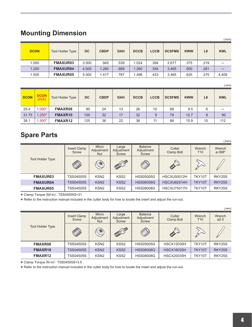### **Mounting Dimension**

|             |                         |           |             |            |             |             |               |            |                | (inch)     |
|-------------|-------------------------|-----------|-------------|------------|-------------|-------------|---------------|------------|----------------|------------|
| <b>DCON</b> | <b>Tool Holder Type</b> | <b>DC</b> | <b>CBDP</b> | <b>DAH</b> | <b>DCCB</b> | <b>LCCB</b> | <b>DCSFMS</b> | <b>KWW</b> | L <sub>8</sub> | <b>KWL</b> |
| 1.000       | <b>FMAXUR03</b>         | 3.000     | .945        | .539       | 1.024       | .394        | 2.677         | .375       | .219           |            |
| 1.250       | <b>FMAXUR04</b>         | 4.000     | 1.260       | .669       | 1.260       | .354        | 3.465         | .500       | .281           | —          |
| 1.500       | <b>FMAXUR05</b>         | 5.000     | .417        | .787       | .496        | .433        | 3.465         | .625       | .375           | 4.409      |

(mm)

|             |                       |                         |           |             |            |             |             |               |            |                | (IIIIII    |
|-------------|-----------------------|-------------------------|-----------|-------------|------------|-------------|-------------|---------------|------------|----------------|------------|
| <b>DCON</b> | <b>DCON</b><br>(inch) | <b>Tool Holder Type</b> | <b>DC</b> | <b>CBDP</b> | <b>DAH</b> | <b>DCCB</b> | <b>LCCB</b> | <b>DCSFMS</b> | <b>KWW</b> | L <sub>8</sub> | <b>KWL</b> |
| 25.4        | 1.000"                | FMAXR08                 | 80        | 24          | 13         | 26          | 10          | 68            | 9.5        | 6              |            |
| 31.75       | .250"                 | FMAXR10                 | 100       | 32          | 17         | 32          | 9           | 79            | 12.7       | 8              | 90         |
| 38.1        | .500"<br>и            | FMAXR12                 | 125       | 36          | 22         | 38          | 11          | 88            | 15.9       | 10             | 112        |

### **Spare Parts**

|                         |                       |                             |                                                                                 |                  |                    |               | (inch)                               |
|-------------------------|-----------------------|-----------------------------|---------------------------------------------------------------------------------|------------------|--------------------|---------------|--------------------------------------|
|                         | Insert Clamp<br>Screw | Micro<br>Adjustment<br>Nut  | <b>Balance</b><br>Large<br>Cutter<br>Adjustment<br>Adjustment<br>Screw<br>Screw |                  | Clamp Bolt         | Wrench<br>T10 | <b>Wrench</b><br>$\varnothing$ .098" |
| <b>Tool Holder Type</b> | <b>ND</b>             | $\textcircled{\small\bf 1}$ | CONTROLLED                                                                      | S                | <b>CONTRACTOR</b>  |               |                                      |
| <b>FMAXUR03</b>         | TSS04505S             | KSN <sub>2</sub>            | KSS <sub>2</sub>                                                                | <b>HSS05005G</b> | <b>HSCXU50012H</b> | TKY10T        | <b>RKY25S</b>                        |
| <b>FMAXUR04</b>         | <b>TSS04505S</b>      | KSN <sub>2</sub>            | KSS <sub>2</sub>                                                                | <b>HSS06006G</b> | HSCXU62514H        | TKY10T        | <b>RKY25S</b>                        |
| <b>FMAXUR05</b>         | TSS04505S             | KSN <sub>2</sub>            | KSS <sub>2</sub>                                                                | <b>HSS08008G</b> | <b>HSCXU75017H</b> | TKY10T        | <b>RKY25S</b>                        |

\* Clamp Torque (lbf-in) : TSS04505S=31

\* Refer to the instruction manual included in the cutter body for how to locate the insert and adjust the run-out.

|                         |                       |                                   |                              |                  |                      |                           | (mm)                        |
|-------------------------|-----------------------|-----------------------------------|------------------------------|------------------|----------------------|---------------------------|-----------------------------|
|                         | Insert Clamp<br>Screw | Micro<br>Adjustment<br><b>Nut</b> | Large<br>Adjustment<br>Screw |                  | Cutter<br>Clamp Bolt | Wrench<br>T <sub>10</sub> | Wrench<br>$\varnothing$ 2.5 |
| <b>Tool Holder Type</b> | <b>III</b>            | (O)                               | CONTROLLED                   | P                | ACT OF STRIKE        |                           |                             |
| <b>FMAXR08</b>          | <b>TSS04505S</b>      | KSN <sub>2</sub>                  | KSS <sub>2</sub>             | <b>HSS05005G</b> | <b>HSCX12030H</b>    | TKY10T                    | RKY25S                      |
| <b>FMAXR10</b>          | <b>TSS04505S</b>      | KSN <sub>2</sub>                  | KSS <sub>2</sub>             | <b>HSS06006G</b> | <b>HSCX16035H</b>    | TKY10T                    | RKY25S                      |
| FMAXR12                 | <b>TSS04505S</b>      | KSN <sub>2</sub>                  | KSS <sub>2</sub>             | <b>HSS08008G</b> | <b>HSCX20035H</b>    | TKY10T                    | RKY25S                      |

\* Clamp Torque (N·m) : TSS04505S=3.5

\* Refer to the instruction manual included in the cutter body for how to locate the insert and adjust the run-out.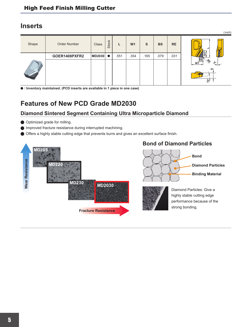### **Inserts**

|       |               |              |              |      |                |      |           |           | (inch)                     |
|-------|---------------|--------------|--------------|------|----------------|------|-----------|-----------|----------------------------|
| Shape | Order Number  | <b>Class</b> | <b>Stock</b> |      | W <sub>1</sub> | S    | <b>BS</b> | <b>RE</b> |                            |
|       | GOER1408PXFR2 | MD2030       | $\bullet$    | .551 | .354           | .165 | .079      | .031      | $\frac{5}{2}$<br><b>BS</b> |
|       |               |              |              |      |                |      |           |           | .s.<br>W1                  |
|       |               |              |              |      |                |      |           |           | ဖာ<br>$\dot{\mathbf{e}}'$  |

a **: Inventory maintained. (PCD inserts are available in 1 piece in one case)** 

### **Features of New PCD Grade MD2030**

### **Diamond Sintered Segment Containing Ultra Microparticle Diamond**

- **Optimized grade for milling.**
- a Improved fracture resistance during interrupted machining.
- a Offers a highly stable cutting edge that prevents burrs and gives an excellent surface finish.

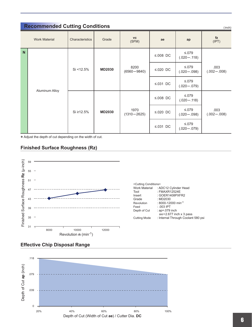|              | <b>Recommended Cutting Conditions</b><br>(inch) |                 |               |                         |                 |                                 |                         |  |  |  |  |
|--------------|-------------------------------------------------|-----------------|---------------|-------------------------|-----------------|---------------------------------|-------------------------|--|--|--|--|
|              | <b>Work Material</b>                            | Characteristics | Grade         | <b>VC</b><br>(SFM)      | ae              | ap                              | fz<br>(IPT)             |  |  |  |  |
| $\mathsf{N}$ |                                                 |                 |               |                         | ≤.008 DC        | $≤.079$<br>$(.020 - .118)$      |                         |  |  |  |  |
|              |                                                 | Si < 12.5%      | <b>MD2030</b> | 8200<br>$(6560 - 9840)$ | $\leq 0.020$ DC | $\leq 079$<br>$(.020 - .098)$   | .003<br>$(.002 - .008)$ |  |  |  |  |
|              |                                                 |                 |               |                         | $\leq 0.031$ DC | $\leq 0.079$<br>$(.020 - .079)$ |                         |  |  |  |  |
|              | Aluminum Alloy                                  |                 |               |                         | ≤.008 DC        | $\leq 0.079$<br>$(.020 - .118)$ |                         |  |  |  |  |
|              |                                                 | Si ≥12.5%       | <b>MD2030</b> | 1970<br>$(1310 - 2625)$ | $\leq 0.020$ DC | $\leq 079$<br>$(.020-.098)$     | .003<br>$(.002 - .008)$ |  |  |  |  |
|              |                                                 |                 |               |                         | $\leq 0.031$ DC | $\leq 0.079$<br>$(.020 - .079)$ |                         |  |  |  |  |

\* Adjust the depth of cut depending on the width of cut.

#### **Finished Surface Roughness (Rz)**



| <cutting conditions=""></cutting> |                                    |
|-----------------------------------|------------------------------------|
| Work Material                     | : ADC12 Cylinder Head              |
| Tool                              | : FMAXR12524E                      |
| Insert                            | : GOER1408PXFR2                    |
| Grade                             | : MD2030                           |
| Revolution                        | : 8000-12000 min <sup>-1</sup>     |
| Feed                              | $: .003$ IPT                       |
| Depth of Cut                      | : ap=.079 inch                     |
|                                   | $ae = 2.677$ inch x 3 pass         |
| <b>Cutting Mode</b>               | : Internal Through Coolant 580 psi |
|                                   |                                    |

#### **Effective Chip Disposal Range**